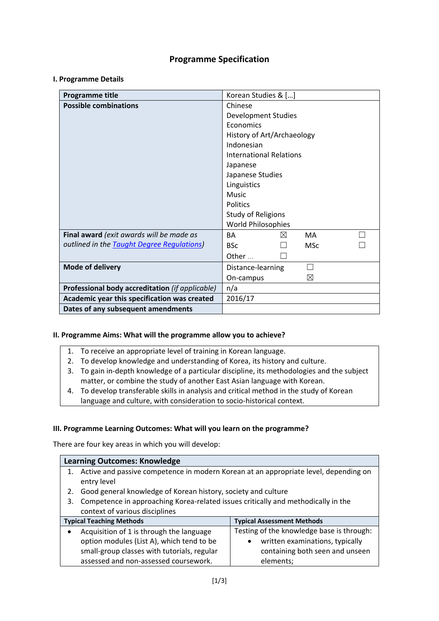# **Programme Specification**

#### **I. Programme Details**

| Programme title                                    | Korean Studies & []                   |  |  |  |  |
|----------------------------------------------------|---------------------------------------|--|--|--|--|
| <b>Possible combinations</b>                       | Chinese                               |  |  |  |  |
|                                                    | <b>Development Studies</b>            |  |  |  |  |
|                                                    | Economics                             |  |  |  |  |
|                                                    | History of Art/Archaeology            |  |  |  |  |
|                                                    | Indonesian                            |  |  |  |  |
|                                                    | <b>International Relations</b>        |  |  |  |  |
|                                                    | Japanese                              |  |  |  |  |
|                                                    | Japanese Studies                      |  |  |  |  |
|                                                    | Linguistics                           |  |  |  |  |
|                                                    | <b>Music</b>                          |  |  |  |  |
|                                                    | Politics                              |  |  |  |  |
|                                                    | <b>Study of Religions</b>             |  |  |  |  |
|                                                    | World Philosophies                    |  |  |  |  |
| Final award (exit awards will be made as           | <b>BA</b><br><b>MA</b><br>$\boxtimes$ |  |  |  |  |
| outlined in the <b>Taught Degree Regulations</b> ) | <b>BSc</b><br><b>MSc</b>              |  |  |  |  |
|                                                    | Other                                 |  |  |  |  |
| Mode of delivery                                   | Distance-learning                     |  |  |  |  |
|                                                    | X<br>On-campus                        |  |  |  |  |
| Professional body accreditation (if applicable)    | n/a                                   |  |  |  |  |
| Academic year this specification was created       | 2016/17                               |  |  |  |  |
| Dates of any subsequent amendments                 |                                       |  |  |  |  |

### **II. Programme Aims: What will the programme allow you to achieve?**

- 1. To receive an appropriate level of training in Korean language.
- 2. To develop knowledge and understanding of Korea, its history and culture.
- 3. To gain in-depth knowledge of a particular discipline, its methodologies and the subject matter, or combine the study of another East Asian language with Korean.
- 4. To develop transferable skills in analysis and critical method in the study of Korean language and culture, with consideration to socio-historical context.

### **III. Programme Learning Outcomes: What will you learn on the programme?**

There are four key areas in which you will develop:

| <b>Learning Outcomes: Knowledge</b> |                                                                                      |                                           |  |  |  |  |
|-------------------------------------|--------------------------------------------------------------------------------------|-------------------------------------------|--|--|--|--|
|                                     | Active and passive competence in modern Korean at an appropriate level, depending on |                                           |  |  |  |  |
|                                     | entry level                                                                          |                                           |  |  |  |  |
| 2.                                  | Good general knowledge of Korean history, society and culture                        |                                           |  |  |  |  |
| 3.                                  | Competence in approaching Korea-related issues critically and methodically in the    |                                           |  |  |  |  |
|                                     | context of various disciplines                                                       |                                           |  |  |  |  |
|                                     | <b>Typical Teaching Methods</b><br><b>Typical Assessment Methods</b>                 |                                           |  |  |  |  |
|                                     | Acquisition of 1 is through the language                                             | Testing of the knowledge base is through: |  |  |  |  |
|                                     | option modules (List A), which tend to be                                            | written examinations, typically           |  |  |  |  |
|                                     | small-group classes with tutorials, regular                                          | containing both seen and unseen           |  |  |  |  |
|                                     | assessed and non-assessed coursework.                                                | elements;                                 |  |  |  |  |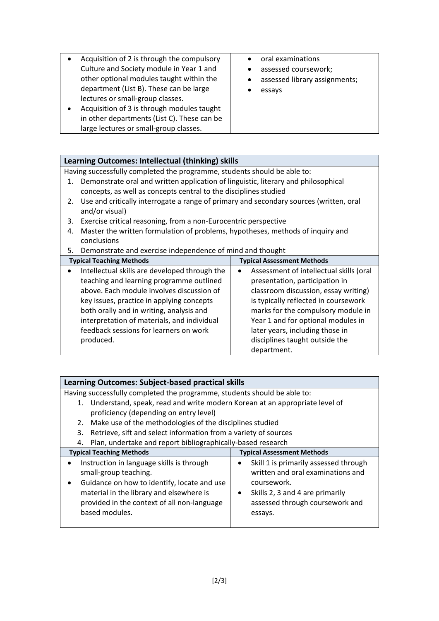| Acquisition of 2 is through the compulsory<br>Culture and Society module in Year 1 and<br>other optional modules taught within the<br>department (List B). These can be large<br>lectures or small-group classes.<br>Acquisition of 3 is through modules taught<br>in other departments (List C). These can be<br>large lectures or small-group classes. | oral examinations<br>assessed coursework;<br>assessed library assignments;<br>essays |
|----------------------------------------------------------------------------------------------------------------------------------------------------------------------------------------------------------------------------------------------------------------------------------------------------------------------------------------------------------|--------------------------------------------------------------------------------------|
|----------------------------------------------------------------------------------------------------------------------------------------------------------------------------------------------------------------------------------------------------------------------------------------------------------------------------------------------------------|--------------------------------------------------------------------------------------|

# **Learning Outcomes: Intellectual (thinking) skills**

Having successfully completed the programme, students should be able to:

- 1. Demonstrate oral and written application of linguistic, literary and philosophical concepts, as well as concepts central to the disciplines studied
- 2. Use and critically interrogate a range of primary and secondary sources (written, oral and/or visual)
- 3. Exercise critical reasoning, from a non-Eurocentric perspective
- 4. Master the written formulation of problems, hypotheses, methods of inquiry and conclusions
- 5. Demonstrate and exercise independence of mind and thought

| <b>Typical Teaching Methods</b>                            | <b>Typical Assessment Methods</b>       |  |  |  |
|------------------------------------------------------------|-----------------------------------------|--|--|--|
| Intellectual skills are developed through the<br>$\bullet$ | Assessment of intellectual skills (oral |  |  |  |
| teaching and learning programme outlined                   | presentation, participation in          |  |  |  |
| above. Each module involves discussion of                  | classroom discussion, essay writing)    |  |  |  |
| key issues, practice in applying concepts                  | is typically reflected in coursework    |  |  |  |
| both orally and in writing, analysis and                   | marks for the compulsory module in      |  |  |  |
| interpretation of materials, and individual                | Year 1 and for optional modules in      |  |  |  |
| feedback sessions for learners on work                     | later years, including those in         |  |  |  |
| produced.                                                  | disciplines taught outside the          |  |  |  |
|                                                            | department.                             |  |  |  |

| Learning Outcomes: Subject-based practical skills                                |                                       |  |  |  |
|----------------------------------------------------------------------------------|---------------------------------------|--|--|--|
| Having successfully completed the programme, students should be able to:         |                                       |  |  |  |
| Understand, speak, read and write modern Korean at an appropriate level of<br>1. |                                       |  |  |  |
| proficiency (depending on entry level)                                           |                                       |  |  |  |
| Make use of the methodologies of the disciplines studied<br>2.                   |                                       |  |  |  |
| Retrieve, sift and select information from a variety of sources<br>3.            |                                       |  |  |  |
| Plan, undertake and report bibliographically-based research<br>4.                |                                       |  |  |  |
| <b>Typical Teaching Methods</b>                                                  | <b>Typical Assessment Methods</b>     |  |  |  |
| Instruction in language skills is through                                        | Skill 1 is primarily assessed through |  |  |  |
| small-group teaching.                                                            | written and oral examinations and     |  |  |  |
| Guidance on how to identify, locate and use                                      | coursework.                           |  |  |  |
| material in the library and elsewhere is                                         | Skills 2, 3 and 4 are primarily       |  |  |  |
| provided in the context of all non-language                                      | assessed through coursework and       |  |  |  |
| based modules.                                                                   | essays.                               |  |  |  |
|                                                                                  |                                       |  |  |  |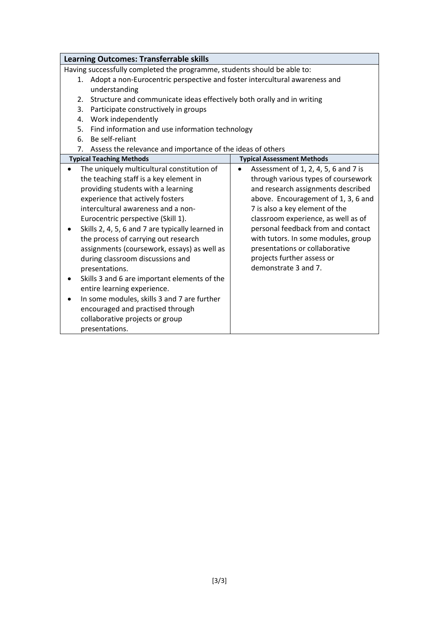| <b>Learning Outcomes: Transferrable skills</b>                                |                                                   |  |  |  |  |  |
|-------------------------------------------------------------------------------|---------------------------------------------------|--|--|--|--|--|
| Having successfully completed the programme, students should be able to:      |                                                   |  |  |  |  |  |
| 1. Adopt a non-Eurocentric perspective and foster intercultural awareness and |                                                   |  |  |  |  |  |
| understanding                                                                 |                                                   |  |  |  |  |  |
| Structure and communicate ideas effectively both orally and in writing<br>2.  |                                                   |  |  |  |  |  |
| Participate constructively in groups<br>3.                                    |                                                   |  |  |  |  |  |
| Work independently<br>4.                                                      |                                                   |  |  |  |  |  |
| 5.<br>Find information and use information technology                         |                                                   |  |  |  |  |  |
| 6. Be self-reliant                                                            |                                                   |  |  |  |  |  |
| 7. Assess the relevance and importance of the ideas of others                 |                                                   |  |  |  |  |  |
| <b>Typical Teaching Methods</b>                                               | <b>Typical Assessment Methods</b>                 |  |  |  |  |  |
| The uniquely multicultural constitution of<br>$\bullet$                       | Assessment of 1, 2, 4, 5, 6 and 7 is<br>$\bullet$ |  |  |  |  |  |
| the teaching staff is a key element in                                        | through various types of coursework               |  |  |  |  |  |
| providing students with a learning                                            | and research assignments described                |  |  |  |  |  |
| experience that actively fosters                                              | above. Encouragement of 1, 3, 6 and               |  |  |  |  |  |
| intercultural awareness and a non-                                            | 7 is also a key element of the                    |  |  |  |  |  |
| Eurocentric perspective (Skill 1).                                            | classroom experience, as well as of               |  |  |  |  |  |
| Skills 2, 4, 5, 6 and 7 are typically learned in<br>٠                         | personal feedback from and contact                |  |  |  |  |  |
| the process of carrying out research                                          | with tutors. In some modules, group               |  |  |  |  |  |
| assignments (coursework, essays) as well as                                   | presentations or collaborative                    |  |  |  |  |  |
| projects further assess or<br>during classroom discussions and                |                                                   |  |  |  |  |  |
| demonstrate 3 and 7.<br>presentations.                                        |                                                   |  |  |  |  |  |
| Skills 3 and 6 are important elements of the                                  |                                                   |  |  |  |  |  |
| entire learning experience.                                                   |                                                   |  |  |  |  |  |
| In some modules, skills 3 and 7 are further                                   |                                                   |  |  |  |  |  |
| encouraged and practised through                                              |                                                   |  |  |  |  |  |
| collaborative projects or group                                               |                                                   |  |  |  |  |  |
| presentations.                                                                |                                                   |  |  |  |  |  |